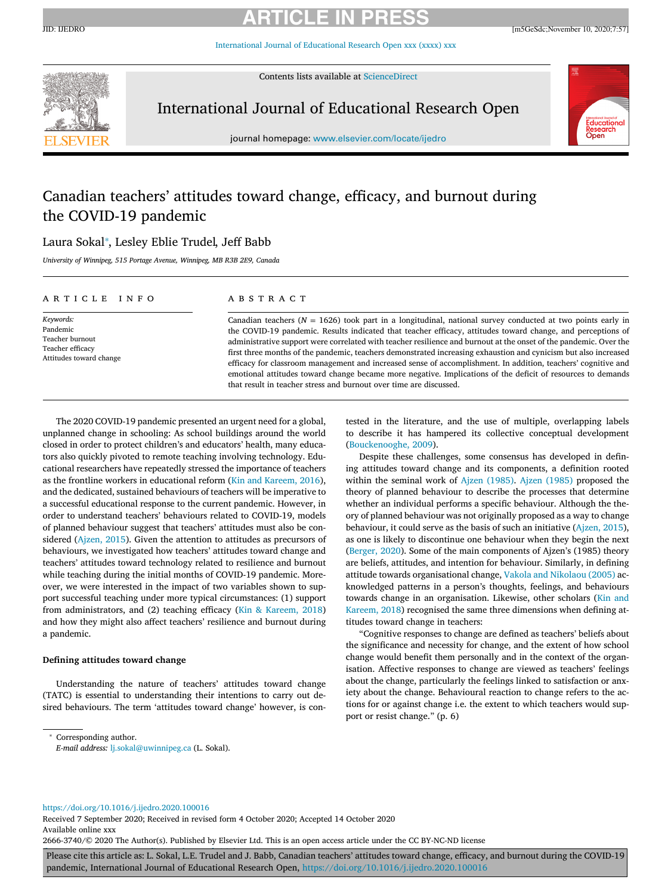# **ARTICLE IN PRESS**

[International](https://doi.org/10.1016/j.ijedro.2020.100016) Journal of Educational Research Open xxx (xxxx) xxx



Contents lists available at [ScienceDirect](http://www.ScienceDirect.com)

International Journal of Educational Research Open



journal homepage: [www.elsevier.com/locate/ijedro](http://www.elsevier.com/locate/ijedro)

# Canadian teachers' attitudes toward change, efficacy, and burnout during the COVID-19 pandemic

# Laura Sokal<sup>∗</sup> , Lesley Eblie Trudel, Jeff Babb

*University of Winnipeg, 515 Portage Avenue, Winnipeg, MB R3B 2E9, Canada*

| ARTICLE INFO                                                                            | ABSTRACT                                                                                                                                                                                                                                                                                                                                                                                                                                                                                                                                                                                                                                                                                                                                                                    |
|-----------------------------------------------------------------------------------------|-----------------------------------------------------------------------------------------------------------------------------------------------------------------------------------------------------------------------------------------------------------------------------------------------------------------------------------------------------------------------------------------------------------------------------------------------------------------------------------------------------------------------------------------------------------------------------------------------------------------------------------------------------------------------------------------------------------------------------------------------------------------------------|
| Keywords:<br>Pandemic<br>Teacher burnout<br>Teacher efficacy<br>Attitudes toward change | Canadian teachers ( $N = 1626$ ) took part in a longitudinal, national survey conducted at two points early in<br>the COVID-19 pandemic. Results indicated that teacher efficacy, attitudes toward change, and perceptions of<br>administrative support were correlated with teacher resilience and burnout at the onset of the pandemic. Over the<br>first three months of the pandemic, teachers demonstrated increasing exhaustion and cynicism but also increased<br>efficacy for classroom management and increased sense of accomplishment. In addition, teachers' cognitive and<br>emotional attitudes toward change became more negative. Implications of the deficit of resources to demands<br>that result in teacher stress and burnout over time are discussed. |
|                                                                                         |                                                                                                                                                                                                                                                                                                                                                                                                                                                                                                                                                                                                                                                                                                                                                                             |

The 2020 COVID-19 pandemic presented an urgent need for a global, unplanned change in schooling: As school buildings around the world closed in order to protect children's and educators' health, many educators also quickly pivoted to remote teaching involving technology. Educational researchers have repeatedly stressed the importance of teachers as the frontline workers in educational reform (Kin and [Kareem,](#page-6-0) 2016), and the dedicated, sustained behaviours of teachers will be imperative to a successful educational response to the current pandemic. However, in order to understand teachers' behaviours related to COVID-19, models of planned behaviour suggest that teachers' attitudes must also be considered [\(Ajzen,](#page-6-0) 2015). Given the attention to attitudes as precursors of behaviours, we investigated how teachers' attitudes toward change and teachers' attitudes toward technology related to resilience and burnout while teaching during the initial months of COVID-19 pandemic. Moreover, we were interested in the impact of two variables shown to support successful teaching under more typical circumstances: (1) support from administrators, and (2) teaching efficacy (Kin & [Kareem,](#page-6-0) 2018) and how they might also affect teachers' resilience and burnout during a pandemic.

#### **Defining attitudes toward change**

Understanding the nature of teachers' attitudes toward change (TATC) is essential to understanding their intentions to carry out desired behaviours. The term 'attitudes toward change' however, is con-

<sup>∗</sup> Corresponding author. *E-mail address:* [lj.sokal@uwinnipeg.ca](mailto:lj.sokal@uwinnipeg.ca) (L. Sokal). tested in the literature, and the use of multiple, overlapping labels to describe it has hampered its collective conceptual development [\(Bouckenooghe,](#page-6-0) 2009).

Despite these challenges, some consensus has developed in defining attitudes toward change and its components, a definition rooted within the seminal work of Ajzen [\(1985\).](#page-6-0) Ajzen [\(1985\)](#page-6-0) proposed the theory of planned behaviour to describe the processes that determine whether an individual performs a specific behaviour. Although the theory of planned behaviour was not originally proposed as a way to change behaviour, it could serve as the basis of such an initiative [\(Ajzen,](#page-6-0) 2015), as one is likely to discontinue one behaviour when they begin the next [\(Berger,](#page-6-0) 2020). Some of the main components of Ajzen's (1985) theory are beliefs, attitudes, and intention for behaviour. Similarly, in defining attitude towards organisational change, Vakola and [Nikolaou](#page-7-0) (2005) acknowledged patterns in a person's thoughts, feelings, and behaviours towards change in an [organisation.](#page-6-0) Likewise, other scholars (Kin and Kareem, 2018) recognised the same three dimensions when defining attitudes toward change in teachers:

"Cognitive responses to change are defined as teachers' beliefs about the significance and necessity for change, and the extent of how school change would benefit them personally and in the context of the organisation. Affective responses to change are viewed as teachers' feelings about the change, particularly the feelings linked to satisfaction or anxiety about the change. Behavioural reaction to change refers to the actions for or against change i.e. the extent to which teachers would support or resist change." (p. 6)

<https://doi.org/10.1016/j.ijedro.2020.100016>

Received 7 September 2020; Received in revised form 4 October 2020; Accepted 14 October 2020 Available online xxx

2666-3740/© 2020 The Author(s). Published by Elsevier Ltd. This is an open access article under the CC BY-NC-ND license

Please cite this article as: L. Sokal, L.E. Trudel and J. Babb, Canadian teachers' attitudes toward change, efficacy, and burnout during the COVID-19 pandemic, International Journal of Educational Research Open, <https://doi.org/10.1016/j.ijedro.2020.100016>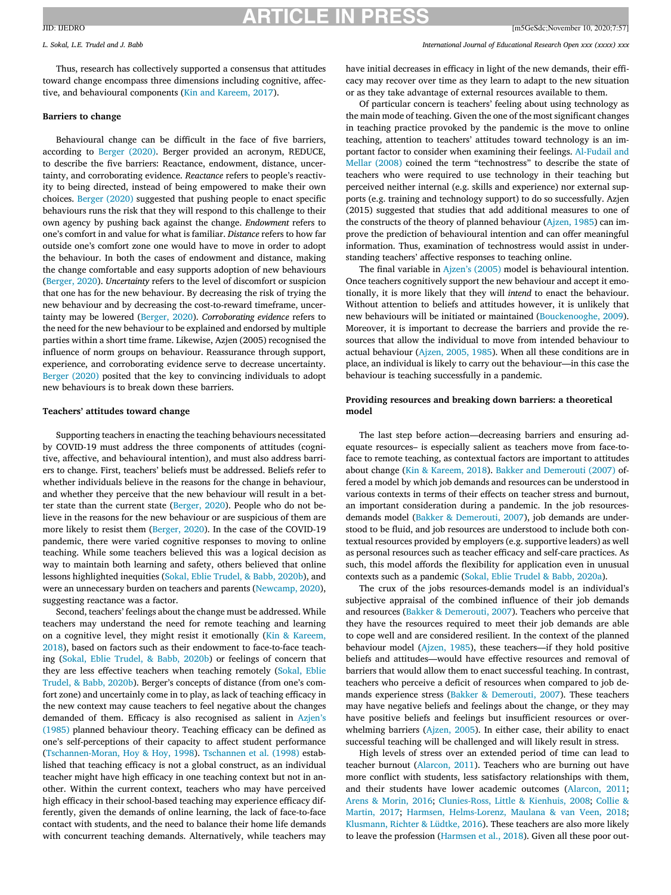Thus, research has collectively supported a consensus that attitudes toward change encompass three dimensions including cognitive, affective, and behavioural components (Kin and [Kareem,](#page-6-0) 2017).

#### **Barriers to change**

Behavioural change can be difficult in the face of five barriers, according to Berger [\(2020\).](#page-6-0) Berger provided an acronym, REDUCE, to describe the five barriers: Reactance, endowment, distance, uncertainty, and corroborating evidence. *Reactance* refers to people's reactivity to being directed, instead of being empowered to make their own choices. Berger [\(2020\)](#page-6-0) suggested that pushing people to enact specific behaviours runs the risk that they will respond to this challenge to their own agency by pushing back against the change. *Endowment* refers to one's comfort in and value for what is familiar. *Distance* refers to how far outside one's comfort zone one would have to move in order to adopt the behaviour. In both the cases of endowment and distance, making the change comfortable and easy supports adoption of new behaviours [\(Berger,](#page-6-0) 2020). *Uncertainty* refers to the level of discomfort or suspicion that one has for the new behaviour. By decreasing the risk of trying the new behaviour and by decreasing the cost-to-reward timeframe, uncertainty may be lowered [\(Berger,](#page-6-0) 2020). *Corroborating evidence* refers to the need for the new behaviour to be explained and endorsed by multiple parties within a short time frame. Likewise, Azjen (2005) recognised the influence of norm groups on behaviour. Reassurance through support, experience, and corroborating evidence serve to decrease uncertainty. Berger [\(2020\)](#page-6-0) posited that the key to convincing individuals to adopt new behaviours is to break down these barriers.

### **Teachers' attitudes toward change**

Supporting teachers in enacting the teaching behaviours necessitated by COVID-19 must address the three components of attitudes (cognitive, affective, and behavioural intention), and must also address barriers to change. First, teachers' beliefs must be addressed. Beliefs refer to whether individuals believe in the reasons for the change in behaviour, and whether they perceive that the new behaviour will result in a better state than the current state [\(Berger,](#page-6-0) 2020). People who do not believe in the reasons for the new behaviour or are suspicious of them are more likely to resist them [\(Berger,](#page-6-0) 2020). In the case of the COVID-19 pandemic, there were varied cognitive responses to moving to online teaching. While some teachers believed this was a logical decision as way to maintain both learning and safety, others believed that online lessons highlighted inequities (Sokal, Eblie [Trudel,](#page-6-0) & Babb, 2020b), and were an unnecessary burden on teachers and parents [\(Newcamp,](#page-6-0) 2020), suggesting reactance was a factor.

Second, teachers' feelings about the change must be addressed. While teachers may understand the need for remote teaching and learning on a cognitive level, they might resist it [emotionally](#page-6-0) (Kin & Kareem, 2018), based on factors such as their endowment to face-to-face teaching (Sokal, Eblie [Trudel,](#page-6-0) & Babb, 2020b) or feelings of concern that they are less effective teachers when teaching [remotely](#page-6-0) (Sokal, Eblie Trudel, & Babb, 2020b). Berger's concepts of distance (from one's comfort zone) and uncertainly come in to play, as lack of teaching efficacy in the new context may cause teachers to feel negative about the changes demanded of them. Efficacy is also [recognised](#page-6-0) as salient in Azjen's (1985) planned behaviour theory. Teaching efficacy can be defined as one's self-perceptions of their capacity to affect student performance [\(Tschannen-Moran,](#page-7-0) Hoy & Hoy, 1998). [Tschannen](#page-7-0) et al. (1998) established that teaching efficacy is not a global construct, as an individual teacher might have high efficacy in one teaching context but not in another. Within the current context, teachers who may have perceived high efficacy in their school-based teaching may experience efficacy differently, given the demands of online learning, the lack of face-to-face contact with students, and the need to balance their home life demands with concurrent teaching demands. Alternatively, while teachers may have initial decreases in efficacy in light of the new demands, their efficacy may recover over time as they learn to adapt to the new situation or as they take advantage of external resources available to them.

Of particular concern is teachers' feeling about using technology as the main mode of teaching. Given the one of the most significant changes in teaching practice provoked by the pandemic is the move to online teaching, attention to teachers' attitudes toward technology is an important factor to consider when examining their feelings. Al-Fudail and Mellar (2008) coined the term ["technostress" to](#page-6-0) describe the state of teachers who were required to use technology in their teaching but perceived neither internal (e.g. skills and experience) nor external supports (e.g. training and technology support) to do so successfully. Azjen (2015) suggested that studies that add additional measures to one of the constructs of the theory of planned behaviour [\(Ajzen,](#page-6-0) 1985) can improve the prediction of behavioural intention and can offer meaningful information. Thus, examination of technostress would assist in understanding teachers' affective responses to teaching online.

The final variable in [Ajzen's](#page-6-0) (2005) model is behavioural intention. Once teachers cognitively support the new behaviour and accept it emotionally, it is more likely that they will *intend* to enact the behaviour. Without attention to beliefs and attitudes however, it is unlikely that new behaviours will be initiated or maintained [\(Bouckenooghe,](#page-6-0) 2009). Moreover, it is important to decrease the barriers and provide the resources that allow the individual to move from intended behaviour to actual behaviour [\(Ajzen,](#page-6-0) 2005, 1985). When all these conditions are in place, an individual is likely to carry out the behaviour—in this case the behaviour is teaching successfully in a pandemic.

### **Providing resources and breaking down barriers: a theoretical model**

The last step before action—decreasing barriers and ensuring adequate resources– is especially salient as teachers move from face-toface to remote teaching, as contextual factors are important to attitudes about change (Kin & [Kareem,](#page-6-0) 2018). Bakker and [Demerouti](#page-6-0) (2007) offered a model by which job demands and resources can be understood in various contexts in terms of their effects on teacher stress and burnout, an important consideration during a pandemic. In the job resourcesdemands model (Bakker & [Demerouti,](#page-6-0) 2007), job demands are understood to be fluid, and job resources are understood to include both contextual resources provided by employers (e.g. supportive leaders) as well as personal resources such as teacher efficacy and self-care practices. As such, this model affords the flexibility for application even in unusual contexts such as a pandemic (Sokal, Eblie [Trudel](#page-6-0) & Babb, 2020a).

The crux of the jobs resources-demands model is an individual's subjective appraisal of the combined influence of their job demands and resources (Bakker & [Demerouti,](#page-6-0) 2007). Teachers who perceive that they have the resources required to meet their job demands are able to cope well and are considered resilient. In the context of the planned behaviour model [\(Ajzen,](#page-6-0) 1985), these teachers—if they hold positive beliefs and attitudes—would have effective resources and removal of barriers that would allow them to enact successful teaching. In contrast, teachers who perceive a deficit of resources when compared to job demands experience stress (Bakker & [Demerouti,](#page-6-0) 2007). These teachers may have negative beliefs and feelings about the change, or they may have positive beliefs and feelings but insufficient resources or overwhelming barriers [\(Ajzen,](#page-6-0) 2005). In either case, their ability to enact successful teaching will be challenged and will likely result in stress.

High levels of stress over an extended period of time can lead to teacher burnout [\(Alarcon,](#page-6-0) 2011). Teachers who are burning out have more conflict with students, less satisfactory relationships with them, and their students have lower academic outcomes [\(Alarcon,](#page-6-0) 2011; Arens & [Morin,](#page-6-0) 2016; [Clunies-Ross,](#page-6-0) Little & Kienhuis, 2008; Collie & Martin, 2017; Harmsen, [Helms-Lorenz,](#page-6-0) Maulana & van Veen, 2018; [Klusmann,](#page-6-0) Richter & Lüdtke, 2016). These teachers are also more likely to leave the profession [\(Harmsen](#page-6-0) et al., 2018). Given all these poor out-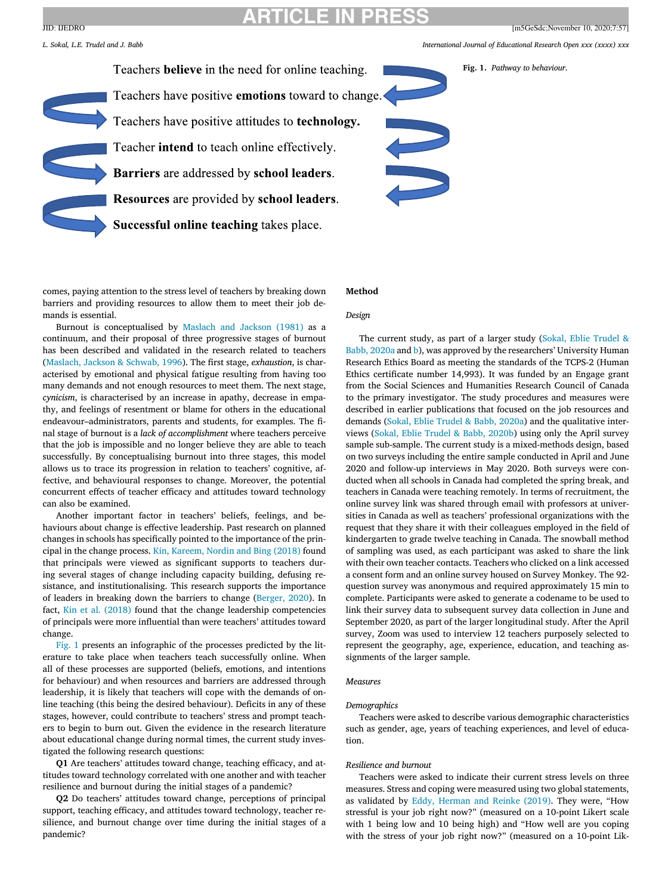*L. Sokal, L.E. Trudel and J. Babb International Journal of Educational Research Open xxx (xxxx) xxx*





**Fig. 1.** *Pathway to behaviour*.

comes, paying attention to the stress level of teachers by breaking down barriers and providing resources to allow them to meet their job demands is essential.

Burnout is conceptualised by [Maslach](#page-6-0) and Jackson (1981) as a continuum, and their proposal of three progressive stages of burnout has been described and validated in the research related to teachers [\(Maslach,](#page-6-0) Jackson & Schwab, 1996). The first stage, *exhaustion*, is characterised by emotional and physical fatigue resulting from having too many demands and not enough resources to meet them. The next stage, *cynicism*, is characterised by an increase in apathy, decrease in empathy, and feelings of resentment or blame for others in the educational endeavour–administrators, parents and students, for examples. The final stage of burnout is a *lack of accomplishment* where teachers perceive that the job is impossible and no longer believe they are able to teach successfully. By conceptualising burnout into three stages, this model allows us to trace its progression in relation to teachers' cognitive, affective, and behavioural responses to change. Moreover, the potential concurrent effects of teacher efficacy and attitudes toward technology can also be examined.

Another important factor in teachers' beliefs, feelings, and behaviours about change is effective leadership. Past research on planned changes in schools has specifically pointed to the importance of the principal in the change process. Kin, [Kareem,](#page-6-0) Nordin and Bing (2018) found that principals were viewed as significant supports to teachers during several stages of change including capacity building, defusing resistance, and institutionalising. This research supports the importance of leaders in breaking down the barriers to change [\(Berger,](#page-6-0) 2020). In fact, Kin et al. [\(2018\)](#page-6-0) found that the change leadership competencies of principals were more influential than were teachers' attitudes toward change.

Fig. 1 presents an infographic of the processes predicted by the literature to take place when teachers teach successfully online. When all of these processes are supported (beliefs, emotions, and intentions for behaviour) and when resources and barriers are addressed through leadership, it is likely that teachers will cope with the demands of online teaching (this being the desired behaviour). Deficits in any of these stages, however, could contribute to teachers' stress and prompt teachers to begin to burn out. Given the evidence in the research literature about educational change during normal times, the current study investigated the following research questions:

**Q1** Are teachers' attitudes toward change, teaching efficacy, and attitudes toward technology correlated with one another and with teacher resilience and burnout during the initial stages of a pandemic?

**Q2** Do teachers' attitudes toward change, perceptions of principal support, teaching efficacy, and attitudes toward technology, teacher resilience, and burnout change over time during the initial stages of a pandemic?

# **Method**

### *Design*

The current study, as part of a larger study (Sokal, Eblie Trudel & Babb, 2020a and [b\)](#page-6-0), was approved by the [researchers'](#page-6-0) University Human Research Ethics Board as meeting the standards of the TCPS-2 (Human Ethics certificate number 14,993). It was funded by an Engage grant from the Social Sciences and Humanities Research Council of Canada to the primary investigator. The study procedures and measures were described in earlier publications that focused on the job resources and demands (Sokal, Eblie [Trudel](#page-6-0) & Babb, 2020a) and the qualitative interviews (Sokal, Eblie Trudel & Babb, [2020b\)](#page-6-0) using only the April survey sample sub-sample. The current study is a mixed-methods design, based on two surveys including the entire sample conducted in April and June 2020 and follow-up interviews in May 2020. Both surveys were conducted when all schools in Canada had completed the spring break, and teachers in Canada were teaching remotely. In terms of recruitment, the online survey link was shared through email with professors at universities in Canada as well as teachers' professional organizations with the request that they share it with their colleagues employed in the field of kindergarten to grade twelve teaching in Canada. The snowball method of sampling was used, as each participant was asked to share the link with their own teacher contacts. Teachers who clicked on a link accessed a consent form and an online survey housed on Survey Monkey. The 92 question survey was anonymous and required approximately 15 min to complete. Participants were asked to generate a codename to be used to link their survey data to subsequent survey data collection in June and September 2020, as part of the larger longitudinal study. After the April survey, Zoom was used to interview 12 teachers purposely selected to represent the geography, age, experience, education, and teaching assignments of the larger sample.

#### *Measures*

#### *Demographics*

Teachers were asked to describe various demographic characteristics such as gender, age, years of teaching experiences, and level of education.

#### *Resilience and burnout*

Teachers were asked to indicate their current stress levels on three measures. Stress and coping were measured using two global statements, as validated by Eddy, [Herman](#page-6-0) and Reinke (2019). They were, "How stressful is your job right now?" (measured on a 10-point Likert scale with 1 being low and 10 being high) and "How well are you coping with the stress of your job right now?" (measured on a 10-point Lik-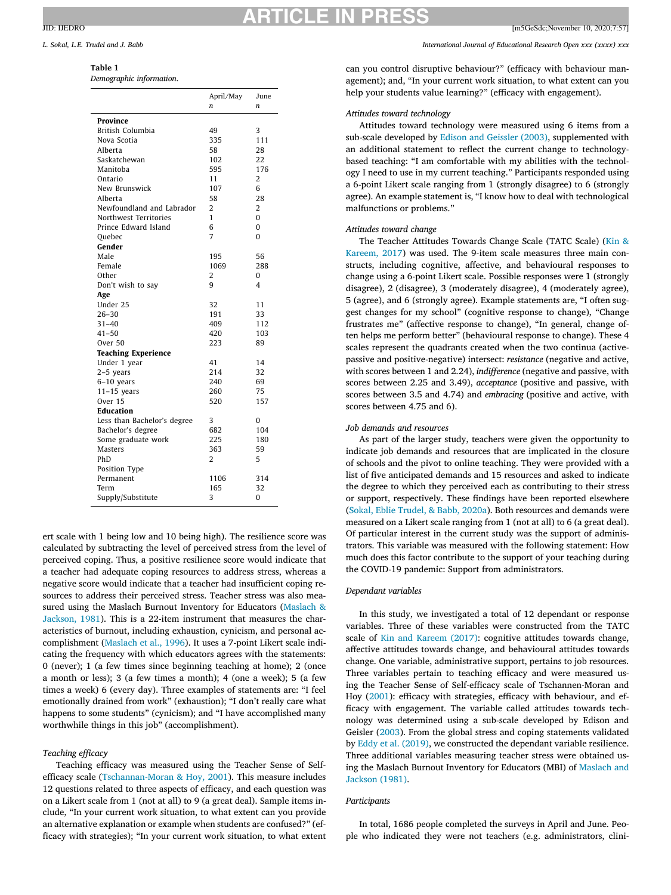<span id="page-3-0"></span>*L. Sokal, L.E. Trudel and J. Babb International Journal of Educational Research Open xxx (xxxx) xxx*

**Table 1**

*Demographic information*.

|                             | April/May | June     |
|-----------------------------|-----------|----------|
|                             | n         | n        |
| Province                    |           |          |
| British Columbia            | 49        | 3        |
| Nova Scotia                 | 335       | 111      |
| Alberta                     | 58        | 28       |
| Saskatchewan                | 102       | 22       |
| Manitoba                    | 595       | 176      |
| Ontario                     | 11        | 2        |
| New Brunswick               | 107       | 6        |
| Alberta                     | 58        | 28       |
| Newfoundland and Labrador   | 2         | 2        |
| Northwest Territories       | 1         | 0        |
| Prince Edward Island        | 6         | 0        |
| Ouebec                      | 7         | $\Omega$ |
| Gender                      |           |          |
| Male                        | 195       | 56       |
| Female                      | 1069      | 288      |
| Other                       | 2         | 0        |
| Don't wish to say           | 9         | 4        |
| Age                         |           |          |
| Under 25                    | 32        | 11       |
| $26 - 30$                   | 191       | 33       |
| $31 - 40$                   | 409       | 112      |
| $41 - 50$                   | 420       | 103      |
| Over 50                     | 223       | 89       |
| <b>Teaching Experience</b>  |           |          |
| Under 1 year                | 41        | 14       |
| $2-5$ years                 | 214       | 32       |
| $6-10$ years                | 240       | 69       |
| $11-15$ years               | 260       | 75       |
| Over 15                     | 520       | 157      |
| Education                   |           |          |
| Less than Bachelor's degree | 3         | 0        |
| Bachelor's degree           | 682       | 104      |
| Some graduate work          | 225       | 180      |
| <b>Masters</b>              | 363       | 59       |
| PhD                         | 2         | 5        |
| Position Type               |           |          |
| Permanent                   | 1106      | 314      |
| Term                        | 165       | 32       |
| Supply/Substitute           | 3         | 0        |

ert scale with 1 being low and 10 being high). The resilience score was calculated by subtracting the level of perceived stress from the level of perceived coping. Thus, a positive resilience score would indicate that a teacher had adequate coping resources to address stress, whereas a negative score would indicate that a teacher had insufficient coping resources to address their perceived stress. Teacher stress was also measured using the Maslach Burnout Inventory for Educators (Maslach & Jackson, 1981). This is a 22-item [instrument](#page-6-0) that measures the characteristics of burnout, including exhaustion, cynicism, and personal accomplishment [\(Maslach](#page-6-0) et al., 1996). It uses a 7-point Likert scale indicating the frequency with which educators agrees with the statements: 0 (never); 1 (a few times since beginning teaching at home); 2 (once a month or less); 3 (a few times a month); 4 (one a week); 5 (a few times a week) 6 (every day). Three examples of statements are: "I feel emotionally drained from work" (exhaustion); "I don't really care what happens to some students" (cynicism); and "I have accomplished many worthwhile things in this job" (accomplishment).

### *Teaching efficacy*

Teaching efficacy was measured using the Teacher Sense of Selfefficacy scale [\(Tschannan-Moran](#page-7-0) & Hoy, 2001). This measure includes 12 questions related to three aspects of efficacy, and each question was on a Likert scale from 1 (not at all) to 9 (a great deal). Sample items include, "In your current work situation, to what extent can you provide an alternative explanation or example when students are confused?" (efficacy with strategies); "In your current work situation, to what extent

can you control disruptive behaviour?" (efficacy with behaviour management); and, "In your current work situation, to what extent can you help your students value learning?" (efficacy with engagement).

#### *Attitudes toward technology*

Attitudes toward technology were measured using 6 items from a sub-scale developed by Edison and [Geissler](#page-6-0) (2003), supplemented with an additional statement to reflect the current change to technologybased teaching: "I am comfortable with my abilities with the technology I need to use in my current teaching." Participants responded using a 6-point Likert scale ranging from 1 (strongly disagree) to 6 (strongly agree). An example statement is, "I know how to deal with technological malfunctions or problems."

#### *Attitudes toward change*

The Teacher Attitudes Towards Change Scale (TATC Scale) (Kin & Kareem, 2017) was used. The 9-item scale [measures](#page-6-0) three main constructs, including cognitive, affective, and behavioural responses to change using a 6-point Likert scale. Possible responses were 1 (strongly disagree), 2 (disagree), 3 (moderately disagree), 4 (moderately agree), 5 (agree), and 6 (strongly agree). Example statements are, "I often suggest changes for my school" (cognitive response to change), "Change frustrates me" (affective response to change), "In general, change often helps me perform better" (behavioural response to change). These 4 scales represent the quadrants created when the two continua (activepassive and positive-negative) intersect: *resistance* (negative and active, with scores between 1 and 2.24), *indifference* (negative and passive, with scores between 2.25 and 3.49), *acceptance* (positive and passive, with scores between 3.5 and 4.74) and *embracing* (positive and active, with scores between 4.75 and 6).

#### *Job demands and resources*

As part of the larger study, teachers were given the opportunity to indicate job demands and resources that are implicated in the closure of schools and the pivot to online teaching. They were provided with a list of five anticipated demands and 15 resources and asked to indicate the degree to which they perceived each as contributing to their stress or support, respectively. These findings have been reported elsewhere (Sokal, Eblie [Trudel,](#page-6-0) & Babb, 2020a). Both resources and demands were measured on a Likert scale ranging from 1 (not at all) to 6 (a great deal). Of particular interest in the current study was the support of administrators. This variable was measured with the following statement: How much does this factor contribute to the support of your teaching during the COVID-19 pandemic: Support from administrators.

### *Dependant variables*

In this study, we investigated a total of 12 dependant or response variables. Three of these variables were constructed from the TATC scale of Kin and [Kareem](#page-6-0) (2017): cognitive attitudes towards change, affective attitudes towards change, and behavioural attitudes towards change. One variable, administrative support, pertains to job resources. Three variables pertain to teaching efficacy and were measured using the Teacher Sense of Self-efficacy scale of Tschannen-Moran and Hoy [\(2001\)](#page-7-0): efficacy with strategies, efficacy with behaviour, and efficacy with engagement. The variable called attitudes towards technology was determined using a sub-scale developed by Edison and Geisler [\(2003\)](#page-6-0). From the global stress and coping statements validated by Eddy et al. [\(2019\),](#page-6-0) we constructed the dependant variable resilience. Three additional variables measuring teacher stress were obtained using the Maslach Burnout Inventory for [Educators](#page-6-0) (MBI) of Maslach and Jackson (1981).

### *Participants*

In total, 1686 people completed the surveys in April and June. People who indicated they were not teachers (e.g. administrators, clini-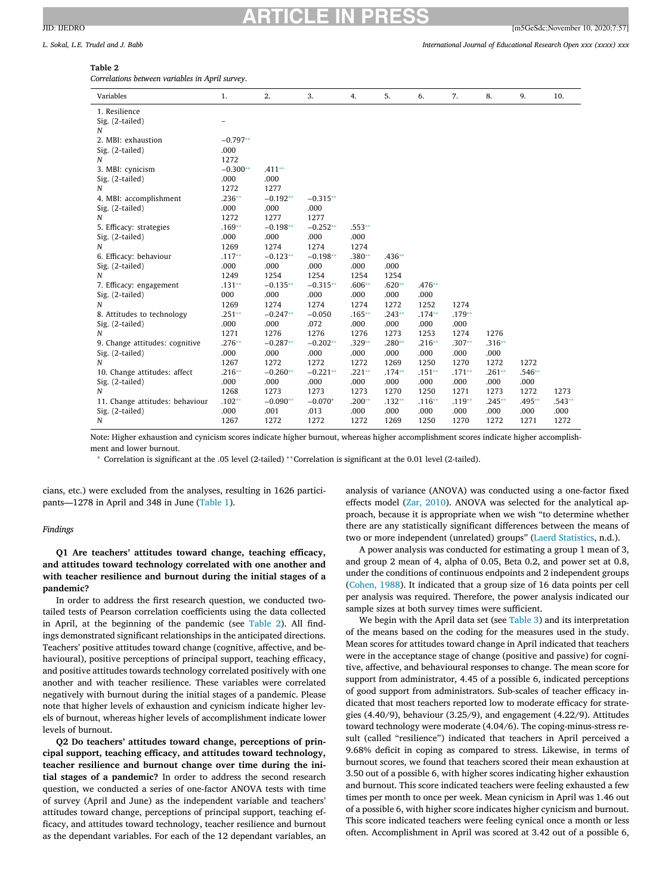#### *L. Sokal, L.E. Trudel and J. Babb International Journal of Educational Research Open xxx (xxxx) xxx*

#### **Table 2**

*Correlations between variables in April survey*.

| Variables                       | 1.         | 2.         | 3.         | 4.       | 5.       | 6.       | 7.       | 8.       | 9.       | 10.      |
|---------------------------------|------------|------------|------------|----------|----------|----------|----------|----------|----------|----------|
| 1. Resilience                   |            |            |            |          |          |          |          |          |          |          |
| Sig. (2-tailed)                 | -          |            |            |          |          |          |          |          |          |          |
| N                               |            |            |            |          |          |          |          |          |          |          |
| 2. MBI: exhaustion              | $-0.797**$ |            |            |          |          |          |          |          |          |          |
| Sig. (2-tailed)                 | .000       |            |            |          |          |          |          |          |          |          |
| N                               | 1272       |            |            |          |          |          |          |          |          |          |
| 3. MBI: cynicism                | $-0.300**$ | $.411**$   |            |          |          |          |          |          |          |          |
| Sig. (2-tailed)                 | .000       | .000       |            |          |          |          |          |          |          |          |
| N                               | 1272       | 1277       |            |          |          |          |          |          |          |          |
| 4. MBI: accomplishment          | $.236**$   | $-0.192**$ | $-0.315**$ |          |          |          |          |          |          |          |
| Sig. (2-tailed)                 | .000       | .000       | .000       |          |          |          |          |          |          |          |
| N                               | 1272       | 1277       | 1277       |          |          |          |          |          |          |          |
| 5. Efficacy: strategies         | $.169**$   | $-0.198**$ | $-0.252**$ | $.553**$ |          |          |          |          |          |          |
| Sig. (2-tailed)                 | .000       | .000       | .000       | .000     |          |          |          |          |          |          |
| N                               | 1269       | 1274       | 1274       | 1274     |          |          |          |          |          |          |
| 6. Efficacy: behaviour          | $.117**$   | $-0.123**$ | $-0.198**$ | .380**   | $.436**$ |          |          |          |          |          |
| Sig. (2-tailed)                 | .000       | .000       | .000       | .000     | .000     |          |          |          |          |          |
| Ν                               | 1249       | 1254       | 1254       | 1254     | 1254     |          |          |          |          |          |
| 7. Efficacy: engagement         | $.131**$   | $-0.135**$ | $-0.315**$ | .606**   | $.620**$ | $.476**$ |          |          |          |          |
| Sig. (2-tailed)                 | 000        | .000       | .000       | .000     | .000     | .000     |          |          |          |          |
| N                               | 1269       | 1274       | 1274       | 1274     | 1272     | 1252     | 1274     |          |          |          |
| 8. Attitudes to technology      | $.251**$   | $-0.247**$ | $-0.050$   | $.165**$ | $.243**$ | $.174**$ | $.179**$ |          |          |          |
| Sig. (2-tailed)                 | .000       | .000       | .072       | .000     | .000     | .000     | .000     |          |          |          |
| N                               | 1271       | 1276       | 1276       | 1276     | 1273     | 1253     | 1274     | 1276     |          |          |
| 9. Change attitudes: cognitive  | $.276**$   | $-0.287**$ | $-0.202**$ | $.329**$ | $.280**$ | $.216**$ | $.307**$ | $.316**$ |          |          |
| Sig. (2-tailed)                 | .000       | .000       | .000       | .000     | .000     | .000     | .000     | .000     |          |          |
| N                               | 1267       | 1272       | 1272       | 1272     | 1269     | 1250     | 1270     | 1272     | 1272     |          |
| 10. Change attitudes: affect    | $.216**$   | $-0.260**$ | $-0.221**$ | $.221**$ | $.174**$ | $.151**$ | $.171**$ | $.261**$ | $.546**$ |          |
| Sig. (2-tailed)                 | .000       | .000       | .000       | .000     | .000     | .000     | .000     | .000     | .000     |          |
| N                               | 1268       | 1273       | 1273       | 1273     | 1270     | 1250     | 1271     | 1273     | 1272     | 1273     |
| 11. Change attitudes: behaviour | $.102**$   | $-0.090**$ | $-0.070*$  | $.200**$ | $.132**$ | $.116**$ | $.119**$ | $.245**$ | .495**   | $.543**$ |
| Sig. (2-tailed)                 | .000       | .001       | .013       | .000     | .000     | .000     | .000     | .000     | .000     | .000     |
| Ν                               | 1267       | 1272       | 1272       | 1272     | 1269     | 1250     | 1270     | 1272     | 1271     | 1272     |

Note: Higher exhaustion and cynicism scores indicate higher burnout, whereas higher accomplishment scores indicate higher accomplishment and lower burnout.

<sup>∗</sup> Correlation is significant at the .05 level (2-tailed) ∗∗Correlation is significant at the 0.01 level (2-tailed).

cians, etc.) were excluded from the analyses, resulting in 1626 participants—1278 in April and 348 in June [\(Table](#page-3-0) 1).

#### *Findings*

**Q1 Are teachers' attitudes toward change, teaching efficacy, and attitudes toward technology correlated with one another and with teacher resilience and burnout during the initial stages of a pandemic?**

In order to address the first research question, we conducted twotailed tests of Pearson correlation coefficients using the data collected in April, at the beginning of the pandemic (see Table 2). All findings demonstrated significant relationships in the anticipated directions. Teachers' positive attitudes toward change (cognitive, affective, and behavioural), positive perceptions of principal support, teaching efficacy, and positive attitudes towards technology correlated positively with one another and with teacher resilience. These variables were correlated negatively with burnout during the initial stages of a pandemic. Please note that higher levels of exhaustion and cynicism indicate higher levels of burnout, whereas higher levels of accomplishment indicate lower levels of burnout.

**Q2 Do teachers' attitudes toward change, perceptions of principal support, teaching efficacy, and attitudes toward technology, teacher resilience and burnout change over time during the initial stages of a pandemic?** In order to address the second research question, we conducted a series of one-factor ANOVA tests with time of survey (April and June) as the independent variable and teachers' attitudes toward change, perceptions of principal support, teaching efficacy, and attitudes toward technology, teacher resilience and burnout as the dependant variables. For each of the 12 dependant variables, an analysis of variance (ANOVA) was conducted using a one-factor fixed effects model (Zar, [2010\)](#page-7-0). ANOVA was selected for the analytical approach, because it is appropriate when we wish "to determine whether there are any statistically significant differences between the means of two or more independent (unrelated) groups" (Laerd [Statistics,](#page-6-0) n.d.).

A power analysis was conducted for estimating a group 1 mean of 3, and group 2 mean of 4, alpha of 0.05, Beta 0.2, and power set at 0.8, under the conditions of continuous endpoints and 2 independent groups [\(Cohen,](#page-6-0) 1988). It indicated that a group size of 16 data points per cell per analysis was required. Therefore, the power analysis indicated our sample sizes at both survey times were sufficient.

We begin with the April data set (see [Table](#page-5-0) 3) and its interpretation of the means based on the coding for the measures used in the study. Mean scores for attitudes toward change in April indicated that teachers were in the acceptance stage of change (positive and passive) for cognitive, affective, and behavioural responses to change. The mean score for support from administrator, 4.45 of a possible 6, indicated perceptions of good support from administrators. Sub-scales of teacher efficacy indicated that most teachers reported low to moderate efficacy for strategies (4.40/9), behaviour (3.25/9), and engagement (4.22/9). Attitudes toward technology were moderate (4.04/6). The coping-minus-stress result (called "resilience") indicated that teachers in April perceived a 9.68% deficit in coping as compared to stress. Likewise, in terms of burnout scores, we found that teachers scored their mean exhaustion at 3.50 out of a possible 6, with higher scores indicating higher exhaustion and burnout. This score indicated teachers were feeling exhausted a few times per month to once per week. Mean cynicism in April was 1.46 out of a possible 6, with higher score indicates higher cynicism and burnout. This score indicated teachers were feeling cynical once a month or less often. Accomplishment in April was scored at 3.42 out of a possible 6,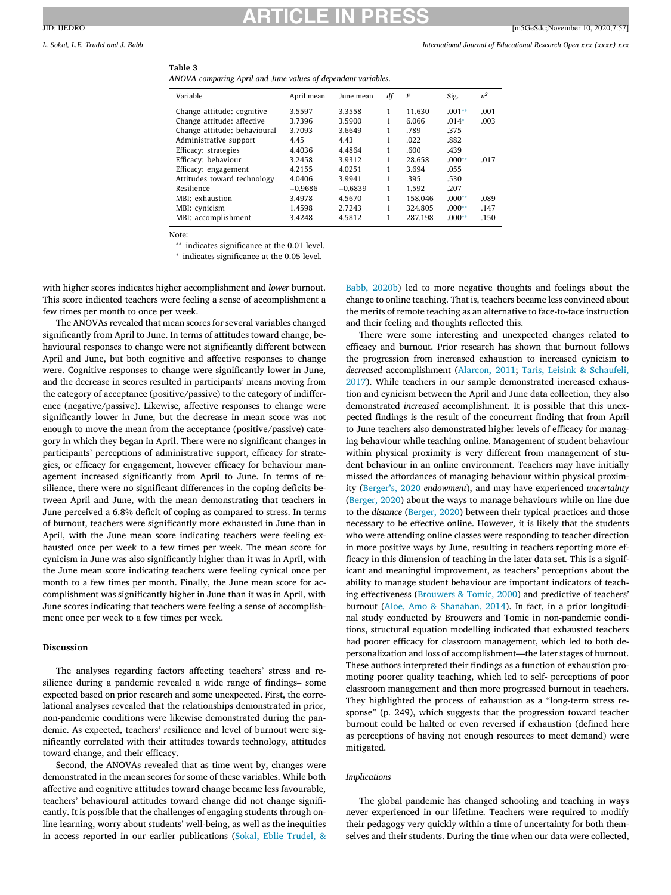## <span id="page-5-0"></span>**Table 3**

*ANOVA comparing April and June values of dependant variables*.

| Variable                     | April mean | June mean | df | $\boldsymbol{F}$ | Sig.     | n <sup>2</sup> |
|------------------------------|------------|-----------|----|------------------|----------|----------------|
| Change attitude: cognitive   | 3.5597     | 3.3558    |    | 11.630           | $.001**$ | .001           |
| Change attitude: affective   | 3.7396     | 3.5900    |    | 6.066            | $.014*$  | .003           |
| Change attitude: behavioural | 3.7093     | 3.6649    | 1  | .789             | .375     |                |
| Administrative support       | 4.45       | 4.43      | 1  | .022             | .882     |                |
| Efficacy: strategies         | 4.4036     | 4.4864    | 1  | .600             | .439     |                |
| Efficacy: behaviour          | 3.2458     | 3.9312    | 1  | 28.658           | $.000**$ | .017           |
| Efficacy: engagement         | 4.2155     | 4.0251    | 1  | 3.694            | .055     |                |
| Attitudes toward technology  | 4.0406     | 3.9941    | 1  | .395             | .530     |                |
| Resilience                   | $-0.9686$  | $-0.6839$ | 1  | 1.592            | .207     |                |
| MBI: exhaustion              | 3.4978     | 4.5670    | 1  | 158.046          | $.000**$ | .089           |
| MBI: cynicism                | 1.4598     | 2.7243    | 1  | 324.805          | $.000**$ | .147           |
| MBI: accomplishment          | 3.4248     | 4.5812    |    | 287.198          | $.000**$ | .150           |

Note:

∗∗ indicates significance at the 0.01 level.

indicates significance at the 0.05 level.

with higher scores indicates higher accomplishment and *lower* burnout. This score indicated teachers were feeling a sense of accomplishment a few times per month to once per week.

The ANOVAs revealed that mean scores for several variables changed significantly from April to June. In terms of attitudes toward change, behavioural responses to change were not significantly different between April and June, but both cognitive and affective responses to change were. Cognitive responses to change were significantly lower in June, and the decrease in scores resulted in participants' means moving from the category of acceptance (positive/passive) to the category of indifference (negative/passive). Likewise, affective responses to change were significantly lower in June, but the decrease in mean score was not enough to move the mean from the acceptance (positive/passive) category in which they began in April. There were no significant changes in participants' perceptions of administrative support, efficacy for strategies, or efficacy for engagement, however efficacy for behaviour management increased significantly from April to June. In terms of resilience, there were no significant differences in the coping deficits between April and June, with the mean demonstrating that teachers in June perceived a 6.8% deficit of coping as compared to stress. In terms of burnout, teachers were significantly more exhausted in June than in April, with the June mean score indicating teachers were feeling exhausted once per week to a few times per week. The mean score for cynicism in June was also significantly higher than it was in April, with the June mean score indicating teachers were feeling cynical once per month to a few times per month. Finally, the June mean score for accomplishment was significantly higher in June than it was in April, with June scores indicating that teachers were feeling a sense of accomplishment once per week to a few times per week.

#### **Discussion**

The analyses regarding factors affecting teachers' stress and resilience during a pandemic revealed a wide range of findings– some expected based on prior research and some unexpected. First, the correlational analyses revealed that the relationships demonstrated in prior, non-pandemic conditions were likewise demonstrated during the pandemic. As expected, teachers' resilience and level of burnout were significantly correlated with their attitudes towards technology, attitudes toward change, and their efficacy.

Second, the ANOVAs revealed that as time went by, changes were demonstrated in the mean scores for some of these variables. While both affective and cognitive attitudes toward change became less favourable, teachers' behavioural attitudes toward change did not change significantly. It is possible that the challenges of engaging students through online learning, worry about students' well-being, as well as the inequities in access reported in our earlier publications (Sokal, Eblie [Trudel,](#page-6-0) &

Babb, [2020b\)](#page-6-0) led to more negative thoughts and feelings about the change to online teaching. That is, teachers became less convinced about the merits of remote teaching as an alternative to face-to-face instruction and their feeling and thoughts reflected this.

There were some interesting and unexpected changes related to efficacy and burnout. Prior research has shown that burnout follows the progression from increased exhaustion to increased cynicism to *decreased* [accomplishment](#page-7-0) [\(Alarcon,](#page-6-0) 2011; Taris, Leisink & Schaufeli, 2017). While teachers in our sample demonstrated increased exhaustion and cynicism between the April and June data collection, they also demonstrated *increased* accomplishment. It is possible that this unexpected findings is the result of the concurrent finding that from April to June teachers also demonstrated higher levels of efficacy for managing behaviour while teaching online. Management of student behaviour within physical proximity is very different from management of student behaviour in an online environment. Teachers may have initially missed the affordances of managing behaviour within physical proximity [\(Berger's,](#page-6-0) 2020 *endowment*), and may have experienced *uncertainty* [\(Berger,](#page-6-0) 2020) about the ways to manage behaviours while on line due to the *distance* [\(Berger,](#page-6-0) 2020) between their typical practices and those necessary to be effective online. However, it is likely that the students who were attending online classes were responding to teacher direction in more positive ways by June, resulting in teachers reporting more efficacy in this dimension of teaching in the later data set. This is a significant and meaningful improvement, as teachers' perceptions about the ability to manage student behaviour are important indicators of teaching effectiveness [\(Brouwers](#page-6-0) & Tomic, 2000) and predictive of teachers' burnout (Aloe, Amo & [Shanahan,](#page-6-0) 2014). In fact, in a prior longitudinal study conducted by Brouwers and Tomic in non-pandemic conditions, structural equation modelling indicated that exhausted teachers had poorer efficacy for classroom management, which led to both depersonalization and loss of accomplishment—the later stages of burnout. These authors interpreted their findings as a function of exhaustion promoting poorer quality teaching, which led to self- perceptions of poor classroom management and then more progressed burnout in teachers. They highlighted the process of exhaustion as a "long-term stress response" (p. 249), which suggests that the progression toward teacher burnout could be halted or even reversed if exhaustion (defined here as perceptions of having not enough resources to meet demand) were mitigated.

#### *Implications*

The global pandemic has changed schooling and teaching in ways never experienced in our lifetime. Teachers were required to modify their pedagogy very quickly within a time of uncertainty for both themselves and their students. During the time when our data were collected,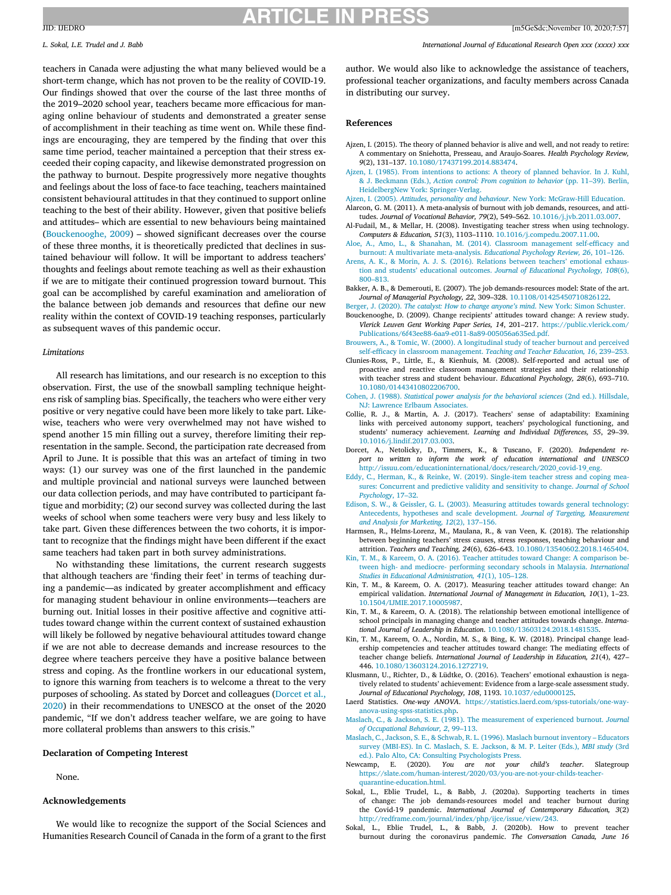#### <span id="page-6-0"></span>*L. Sokal, L.E. Trudel and J. Babb International Journal of Educational Research Open xxx (xxxx) xxx*

teachers in Canada were adjusting the what many believed would be a short-term change, which has not proven to be the reality of COVID-19. Our findings showed that over the course of the last three months of the 2019–2020 school year, teachers became more efficacious for managing online behaviour of students and demonstrated a greater sense of accomplishment in their teaching as time went on. While these findings are encouraging, they are tempered by the finding that over this same time period, teacher maintained a perception that their stress exceeded their coping capacity, and likewise demonstrated progression on the pathway to burnout. Despite progressively more negative thoughts and feelings about the loss of face-to face teaching, teachers maintained consistent behavioural attitudes in that they continued to support online teaching to the best of their ability. However, given that positive beliefs and attitudes– which are essential to new behaviours being maintained (Bouckenooghe, 2009) – showed significant decreases over the course of these three months, it is theoretically predicted that declines in sustained behaviour will follow. It will be important to address teachers' thoughts and feelings about remote teaching as well as their exhaustion if we are to mitigate their continued progression toward burnout. This goal can be accomplished by careful examination and amelioration of the balance between job demands and resources that define our new reality within the context of COVID-19 teaching responses, particularly as subsequent waves of this pandemic occur.

#### *Limitations*

All research has limitations, and our research is no exception to this observation. First, the use of the snowball sampling technique heightens risk of sampling bias. Specifically, the teachers who were either very positive or very negative could have been more likely to take part. Likewise, teachers who were very overwhelmed may not have wished to spend another 15 min filling out a survey, therefore limiting their representation in the sample. Second, the participation rate decreased from April to June. It is possible that this was an artefact of timing in two ways: (1) our survey was one of the first launched in the pandemic and multiple provincial and national surveys were launched between our data collection periods, and may have contributed to participant fatigue and morbidity; (2) our second survey was collected during the last weeks of school when some teachers were very busy and less likely to take part. Given these differences between the two cohorts, it is important to recognize that the findings might have been different if the exact same teachers had taken part in both survey administrations.

No withstanding these limitations, the current research suggests that although teachers are 'finding their feet' in terms of teaching during a pandemic—as indicated by greater accomplishment and efficacy for managing student behaviour in online environments—teachers are burning out. Initial losses in their positive affective and cognitive attitudes toward change within the current context of sustained exhaustion will likely be followed by negative behavioural attitudes toward change if we are not able to decrease demands and increase resources to the degree where teachers perceive they have a positive balance between stress and coping. As the frontline workers in our educational system, to ignore this warning from teachers is to welcome a threat to the very purposes of schooling. As stated by Dorcet and colleagues (Dorcet et al., 2020) in their recommendations to UNESCO at the onset of the 2020 pandemic, "If we don't address teacher welfare, we are going to have more collateral problems than answers to this crisis."

### **Declaration of Competing Interest**

None.

### **Acknowledgements**

We would like to recognize the support of the Social Sciences and Humanities Research Council of Canada in the form of a grant to the first author. We would also like to acknowledge the assistance of teachers, professional teacher organizations, and faculty members across Canada in distributing our survey.

#### **References**

- Aizen, I. (2015). The theory of planned behavior is alive and well, and not ready to retire: A commentary on Sniehotta, Presseau, and Araujo-Soares. *Health Psychology Review, 9*(2), 131–137. [10.1080/17437199.2014.883474.](https://doi.org/10.1080/17437199.2014.883474)
- [Ajzen,](http://refhub.elsevier.com/S2666-3740(20)30016-9/sbref0001) I. (1985). From intentions to actions: A theory of planned behavior. In J. Kuhl, & J. Beckmann (Eds.), *Action control: From cognition to behavior* (pp. 11–39). Berlin, HeidelbergNew York: [Springer-Verlag.](http://refhub.elsevier.com/S2666-3740(20)30016-9/sbref0001)
- [Ajzen,](http://refhub.elsevier.com/S2666-3740(20)30016-9/sbref0002) I. (2005). *Attitudes, personality and behaviour*. New York: [McGraw-Hill](http://refhub.elsevier.com/S2666-3740(20)30016-9/sbref0002) Education.
- Alarcon, G. M. (2011). A meta-analysis of burnout with job demands, resources, and attitudes. *Journal of Vocational Behavior, 79*(2), 549–562. [10.1016/j.jvb.2011.03.007.](https://doi.org/10.1016/j.jvb.2011.03.007)
- Al-Fudail, M., & Mellar, H. (2008). Investigating teacher stress when using technology. *Computers & Education, 51*(3), 1103–1110. [10.1016/j.compedu.2007.11.00.](https://doi.org/10.1016/j.compedu.2007.11.00)
- [Aloe,](http://refhub.elsevier.com/S2666-3740(20)30016-9/sbref0005) A., [Amo,](http://refhub.elsevier.com/S2666-3740(20)30016-9/sbref0005) L., [&](http://refhub.elsevier.com/S2666-3740(20)30016-9/sbref0005) [Shanahan,](http://refhub.elsevier.com/S2666-3740(20)30016-9/sbref0005) M. (2014). Classroom management self-efficacy and burnout: A multivariate [meta-analysis.](http://refhub.elsevier.com/S2666-3740(20)30016-9/sbref0005) *Educational Psychology Review, 26*, 101–126.
- [Arens,](http://refhub.elsevier.com/S2666-3740(20)30016-9/sbref0006) A. K., [&](http://refhub.elsevier.com/S2666-3740(20)30016-9/sbref0006) [Morin,](http://refhub.elsevier.com/S2666-3740(20)30016-9/sbref0006) A. J. S. (2016). Relations between teachers' emotional exhaustion and students' [educational](http://refhub.elsevier.com/S2666-3740(20)30016-9/sbref0006) outcomes. *Journal of Educational Psychology, 108*(6), 800–813.
- Bakker, A. B., & Demerouti, E. (2007). The job demands-resources model: State of the art. *Journal of Managerial Psychology, 22*, 309–328. [10.1108/01425450710826122.](https://doi.org/10.1108/01425450710826122)
- [Berger,](http://refhub.elsevier.com/S2666-3740(20)30016-9/sbref0009) J. (2020). *The catalyst: How to change anyone's mind*. New York: Simon [Schuster.](http://refhub.elsevier.com/S2666-3740(20)30016-9/sbref0009) Bouckenooghe, D. (2009). Change recipients' attitudes toward change: A review study. *Vlerick Leuven Gent Working Paper Series, 14*, 201–217. https://public.vlerick.com/
- [Publications/6f43ee88-6aa9-e011-8a89-005056a635ed.pdf.](https://public.vlerick.com/Publications/6f43ee88-6aa9-e011-8a89-005056a635ed.pdf) [Brouwers,](http://refhub.elsevier.com/S2666-3740(20)30016-9/sbref0012) A., [&](http://refhub.elsevier.com/S2666-3740(20)30016-9/sbref0012) [Tomic,](http://refhub.elsevier.com/S2666-3740(20)30016-9/sbref0012) W. (2000). A longitudinal study of teacher burnout and perceived
- self-efficacy in classroom [management.](http://refhub.elsevier.com/S2666-3740(20)30016-9/sbref0012) *Teaching and Teacher Education, 16*, 239–253. Clunies-Ross, P., Little, E., & Kienhuis, M. (2008). Self-reported and actual use of proactive and reactive classroom management strategies and their relationship with teacher stress and student behaviour. *Educational Psychology, 28*(6), 693–710. [10.1080/01443410802206700.](https://doi.org/10.1080/01443410802206700)
- [Cohen,](http://refhub.elsevier.com/S2666-3740(20)30016-9/sbref0014) J. (1988). *Statistical power analysis for the behavioral sciences* (2nd ed.). Hillsdale, NJ: Lawrence Erlbaum [Associates.](http://refhub.elsevier.com/S2666-3740(20)30016-9/sbref0014)
- Collie, R. J., & Martin, A. J. (2017). Teachers' sense of adaptability: Examining links with perceived autonomy support, teachers' psychological functioning, and students' numeracy achievement. *Learning and Individual Differences, 55*, 29–39. [10.1016/j.lindif.2017.03.003.](https://doi.org/10.1016/j.lindif.2017.03.003)
- Dorcet, A., Netolicky, D., Timmers, K., & Tuscano, F. (2020). *Independent report to written to inform the work of education international and UNESCO* [http://issuu.com/educationinternational/docs/research/2020\\_covid-19\\_eng.](http://issuu.com/educationinternational/docs/research/2020_covid-19_eng)
- [Eddy,](http://refhub.elsevier.com/S2666-3740(20)30016-9/sbref0019) C., [Herman,](http://refhub.elsevier.com/S2666-3740(20)30016-9/sbref0019) K., [&](http://refhub.elsevier.com/S2666-3740(20)30016-9/sbref0019) [Reinke,](http://refhub.elsevier.com/S2666-3740(20)30016-9/sbref0019) W. (2019). Single-item teacher stress and coping measures: Concurrent and predictive validity and sensitivity to change. *Journal of School Psychology*, 17–32.
- [Edison,](http://refhub.elsevier.com/S2666-3740(20)30016-9/sbref0020) S. W., [&](http://refhub.elsevier.com/S2666-3740(20)30016-9/sbref0020) [Geissler,](http://refhub.elsevier.com/S2666-3740(20)30016-9/sbref0020) G. L. (2003). Measuring attitudes towards general technology: Antecedents, hypotheses and scale [development.](http://refhub.elsevier.com/S2666-3740(20)30016-9/sbref0020) *Journal of Targeting, Measurement and Analysis for Marketing, 12*(2), 137–156.
- Harmsen, R., Helms-Lorenz, M., Maulana, R., & van Veen, K. (2018). The relationship between beginning teachers' stress causes, stress responses, teaching behaviour and attrition. *Teachers and Teaching, 24*(6), 626–643. [10.1080/13540602.2018.1465404.](https://doi.org/10.1080/13540602.2018.1465404)
- [Kin,](http://refhub.elsevier.com/S2666-3740(20)30016-9/sbref0027) T. M., [&](http://refhub.elsevier.com/S2666-3740(20)30016-9/sbref0027) [Kareem,](http://refhub.elsevier.com/S2666-3740(20)30016-9/sbref0027) O. A. (2016). Teacher attitudes toward Change: A comparison between high- and mediocre- performing secondary schools in Malaysia. *International Studies in Educational [Administration,](http://refhub.elsevier.com/S2666-3740(20)30016-9/sbref0027) 41*(1), 105–128.
- Kin, T. M., & Kareem, O. A. (2017). Measuring teacher attitudes toward change: An empirical validation. *International Journal of Management in Education, 10*(1), 1–23. [10.1504/IJMIE.2017.10005987.](https://doi.org/10.1504/IJMIE.2017.10005987)
- Kin, T. M., & Kareem, O. A. (2018). The relationship between emotional intelligence of school principals in managing change and teacher attitudes towards change. *International Journal of Leadership in Education*. [10.1080/13603124.2018.1481535.](https://doi.org/10.1080/13603124.2018.1481535)
- Kin, T. M., Kareem, O. A., Nordin, M. S., & Bing, K. W. (2018). Principal change leadership competencies and teacher attitudes toward change: The mediating effects of teacher change beliefs. *International Journal of Leadership in Education, 21*(4), 427– 446. [10.1080/13603124.2016.1272719.](https://doi.org/10.1080/13603124.2016.1272719)
- Klusmann, U., Richter, D., & Lüdtke, O. (2016). Teachers' emotional exhaustion is negatively related to students' achievement: Evidence from a large-scale assessment study. *Journal of Educational Psychology, 108*, 1193. [10.1037/edu0000125.](https://doi.org/10.1037/edu0000125)
- Laerd Statistics. *One-way ANOVA*. [https://statistics.laerd.com/spss-tutorials/one-way](https://statistics.laerd.com/spss-tutorials/one-way-anova-using-spss-statistics.php)anova-using-spss-statistics.php.
- [Maslach,](http://refhub.elsevier.com/S2666-3740(20)30016-9/sbref0037) C., [&](http://refhub.elsevier.com/S2666-3740(20)30016-9/sbref0037) [Jackson,](http://refhub.elsevier.com/S2666-3740(20)30016-9/sbref0037) S. E. (1981). The [measurement](http://refhub.elsevier.com/S2666-3740(20)30016-9/sbref0037) of experienced burnout. *Journal of Occupational Behaviour, 2*, 99–113.
- [Maslach,](http://refhub.elsevier.com/S2666-3740(20)30016-9/sbref0038) C., [Jackson,](http://refhub.elsevier.com/S2666-3740(20)30016-9/sbref0038) S. E., [&](http://refhub.elsevier.com/S2666-3740(20)30016-9/sbref0038) [Schwab,](http://refhub.elsevier.com/S2666-3740(20)30016-9/sbref0038) R. L. (1996). Maslach burnout inventory Educators survey (MBI-ES). In C. Maslach, S. E. Jackson, & M. P. Leiter (Eds.), *MBI study* (3rd ed.). Palo Alto, CA: Consulting [Psychologists](http://refhub.elsevier.com/S2666-3740(20)30016-9/sbref0038) Press.<br>Newcamn. E. (2020). You are not your
- Newcamp, E. (2020). *You are not your child's teacher*. Slategroup [https://slate.com/human-interest/2020/03/you-are-not-your-childs-teacher](https://slate.com/human-interest/2020/03/you-are-not-your-childs-teacher-quarantine-education.html)quarantine-education.html.
- Sokal, L., Eblie Trudel, L., & Babb, J. (2020a). Supporting teacherts in times of change: The job demands-resources model and teacher burnout during the Covid-19 pandemic. *International Journal of Contemporary Education, 3*(2) [http://redframe.com/journal/index/php/ijce/issue/view/243.](http://www.redframe.com/journal/index/php/ijce/issue/view/243)
- Sokal, L., Eblie Trudel, L., & Babb, J. (2020b). How to prevent teacher burnout during the coronavirus pandemic. *The Conversation Canada, June 16*